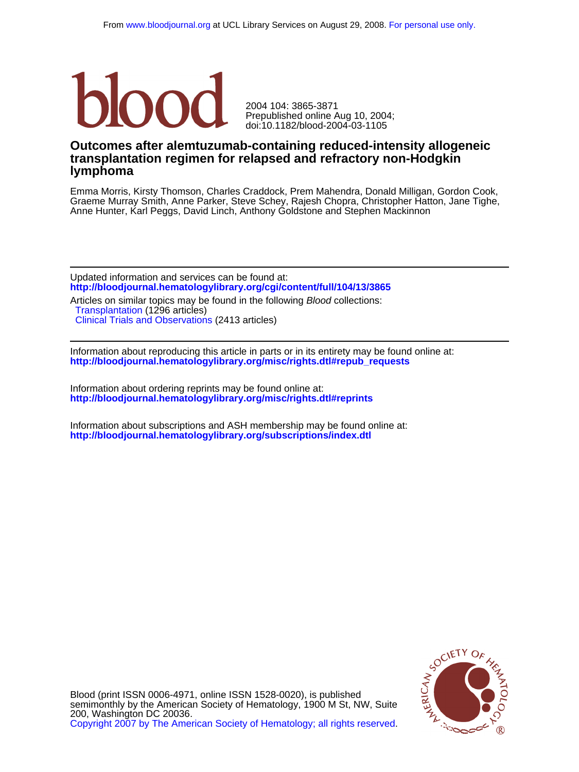

doi:10.1182/blood-2004-03-1105 Prepublished online Aug 10, 2004; 2004 104: 3865-3871

# **lymphoma transplantation regimen for relapsed and refractory non-Hodgkin Outcomes after alemtuzumab-containing reduced-intensity allogeneic**

Anne Hunter, Karl Peggs, David Linch, Anthony Goldstone and Stephen Mackinnon Graeme Murray Smith, Anne Parker, Steve Schey, Rajesh Chopra, Christopher Hatton, Jane Tighe, Emma Morris, Kirsty Thomson, Charles Craddock, Prem Mahendra, Donald Milligan, Gordon Cook,

**<http://bloodjournal.hematologylibrary.org/cgi/content/full/104/13/3865>** Updated information and services can be found at:

[Clinical Trials and Observations](http://bloodjournal.hematologylibrary.org/cgi/collection/clinical_trials_and_observations) (2413 articles) [Transplantation](http://bloodjournal.hematologylibrary.org/cgi/collection/transplantation) (1296 articles) Articles on similar topics may be found in the following Blood collections:

**[http://bloodjournal.hematologylibrary.org/misc/rights.dtl#repub\\_requests](http://bloodjournal.hematologylibrary.org/misc/rights.dtl#repub_requests)** Information about reproducing this article in parts or in its entirety may be found online at:

**<http://bloodjournal.hematologylibrary.org/misc/rights.dtl#reprints>** Information about ordering reprints may be found online at:

**<http://bloodjournal.hematologylibrary.org/subscriptions/index.dtl>** Information about subscriptions and ASH membership may be found online at:



[Copyright 2007 by The American Society of Hematology; all rights reserved.](http://bloodjournal.hematologylibrary.org/subscriptions/ToS.dtl) 200, Washington DC 20036. semimonthly by the American Society of Hematology, 1900 M St, NW, Suite Blood (print ISSN 0006-4971, online ISSN 1528-0020), is published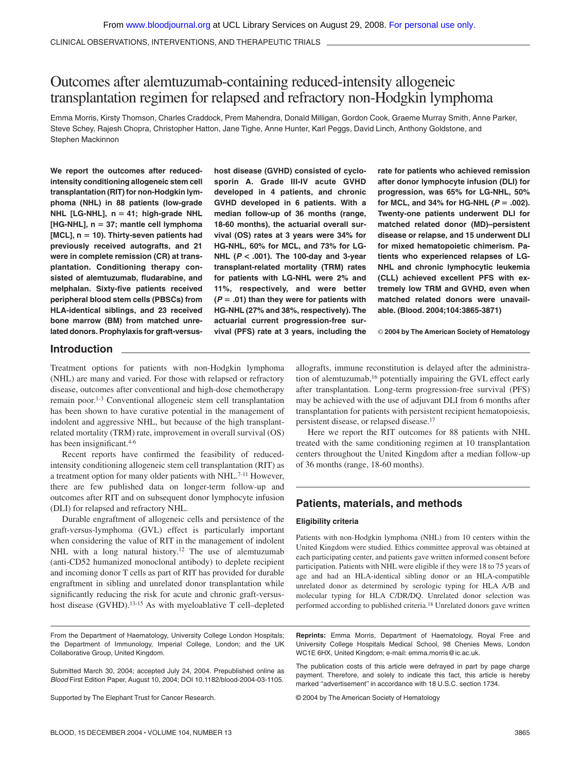CLINICAL OBSERVATIONS, INTERVENTIONS, AND THERAPEUTIC TRIALS

# Outcomes after alemtuzumab-containing reduced-intensity allogeneic transplantation regimen for relapsed and refractory non-Hodgkin lymphoma

Emma Morris, Kirsty Thomson, Charles Craddock, Prem Mahendra, Donald Milligan, Gordon Cook, Graeme Murray Smith, Anne Parker, Steve Schey, Rajesh Chopra, Christopher Hatton, Jane Tighe, Anne Hunter, Karl Peggs, David Linch, Anthony Goldstone, and Stephen Mackinnon

**We report the outcomes after reducedintensity conditioning allogeneic stem cell transplantation (RIT) for non-Hodgkin lymphoma (NHL) in 88 patients (low-grade NHL [LG-NHL], n 41; high-grade NHL [HG-NHL], n 37; mantle cell lymphoma [MCL], n 10). Thirty-seven patients had previously received autografts, and 21 were in complete remission (CR) at transplantation. Conditioning therapy consisted of alemtuzumab, fludarabine, and melphalan. Sixty-five patients received peripheral blood stem cells (PBSCs) from HLA-identical siblings, and 23 received bone marrow (BM) from matched unrelated donors. Prophylaxis for graft-versus-** **host disease (GVHD) consisted of cyclosporin A. Grade III-IV acute GVHD developed in 4 patients, and chronic GVHD developed in 6 patients. With a median follow-up of 36 months (range, 18-60 months), the actuarial overall survival (OS) rates at 3 years were 34% for HG-NHL, 60% for MCL, and 73% for LG-NHL (***P* **< .001). The 100-day and 3-year transplant-related mortality (TRM) rates for patients with LG-NHL were 2% and 11%, respectively, and were better (***P* **.01) than they were for patients with HG-NHL (27% and 38%, respectively). The actuarial current progression-free survival (PFS) rate at 3 years, including the**

**rate for patients who achieved remission after donor lymphocyte infusion (DLI) for progression, was 65% for LG-NHL, 50%** for MCL, and 34% for HG-NHL  $(P = .002)$ . **Twenty-one patients underwent DLI for matched related donor (MD)–persistent disease or relapse, and 15 underwent DLI for mixed hematopoietic chimerism. Patients who experienced relapses of LG-NHL and chronic lymphocytic leukemia (CLL) achieved excellent PFS with extremely low TRM and GVHD, even when matched related donors were unavailable. (Blood. 2004;104:3865-3871)**

© **2004 by The American Society of Hematology**

### **Introduction**

Treatment options for patients with non-Hodgkin lymphoma (NHL) are many and varied. For those with relapsed or refractory disease, outcomes after conventional and high-dose chemotherapy remain poor.1-3 Conventional allogeneic stem cell transplantation has been shown to have curative potential in the management of indolent and aggressive NHL, but because of the high transplantrelated mortality (TRM) rate, improvement in overall survival (OS) has been insignificant.<sup>4-6</sup>

Recent reports have confirmed the feasibility of reducedintensity conditioning allogeneic stem cell transplantation (RIT) as a treatment option for many older patients with NHL.<sup>7-11</sup> However, there are few published data on longer-term follow-up and outcomes after RIT and on subsequent donor lymphocyte infusion (DLI) for relapsed and refractory NHL.

Durable engraftment of allogeneic cells and persistence of the graft-versus-lymphoma (GVL) effect is particularly important when considering the value of RIT in the management of indolent NHL with a long natural history.<sup>12</sup> The use of alemtuzumab (anti-CD52 humanized monoclonal antibody) to deplete recipient and incoming donor T cells as part of RIT has provided for durable engraftment in sibling and unrelated donor transplantation while significantly reducing the risk for acute and chronic graft-versushost disease (GVHD).<sup>13-15</sup> As with myeloablative T cell–depleted

From the Department of Haematology, University College London Hospitals; the Department of Immunology, Imperial College, London; and the UK Collaborative Group, United Kingdom.

Submitted March 30, 2004; accepted July 24, 2004. Prepublished online as *Blood* First Edition Paper, August 10, 2004; DOI 10.1182/blood-2004-03-1105.

Supported by The Elephant Trust for Cancer Research.

allografts, immune reconstitution is delayed after the administration of alemtuzumab,<sup>16</sup> potentially impairing the GVL effect early after transplantation. Long-term progression-free survival (PFS) may be achieved with the use of adjuvant DLI from 6 months after transplantation for patients with persistent recipient hematopoiesis, persistent disease, or relapsed disease.17

Here we report the RIT outcomes for 88 patients with NHL treated with the same conditioning regimen at 10 transplantation centers throughout the United Kingdom after a median follow-up of 36 months (range, 18-60 months).

## **Patients, materials, and methods**

### **Eligibility criteria**

Patients with non-Hodgkin lymphoma (NHL) from 10 centers within the United Kingdom were studied. Ethics committee approval was obtained at each participating center, and patients gave written informed consent before participation. Patients with NHL were eligible if they were 18 to 75 years of age and had an HLA-identical sibling donor or an HLA-compatible unrelated donor as determined by serologic typing for HLA A/B and molecular typing for HLA C/DR/DQ. Unrelated donor selection was performed according to published criteria.<sup>18</sup> Unrelated donors gave written

**Reprints:** Emma Morris, Department of Haematology, Royal Free and University College Hospitals Medical School, 98 Chenies Mews, London WC1E 6HX, United Kingdom; e-mail: emma.morris@ic.ac.uk.

The publication costs of this article were defrayed in part by page charge payment. Therefore, and solely to indicate this fact, this article is hereby marked "advertisement" in accordance with 18 U.S.C. section 1734.

© 2004 by The American Society of Hematology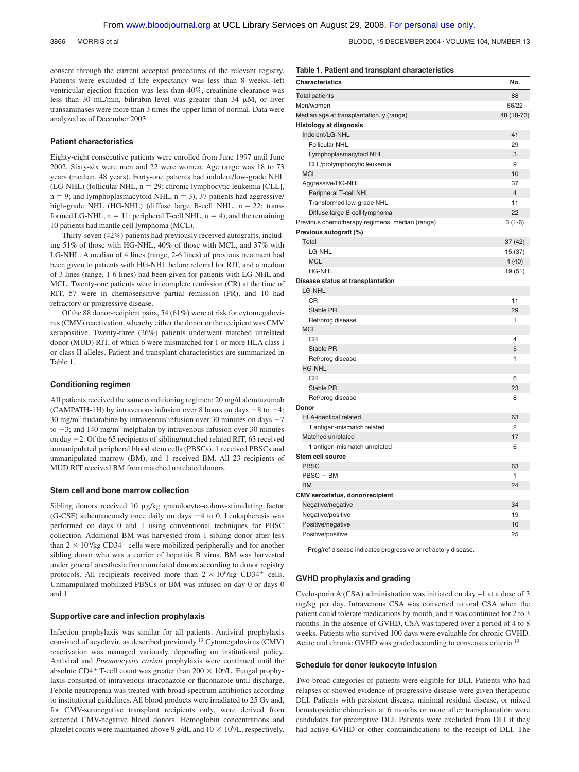3866 MORRIS et al BLOOD, 15 DECEMBER 2004 VOLUME 104, NUMBER 13

consent through the current accepted procedures of the relevant registry. Patients were excluded if life expectancy was less than 8 weeks, left ventricular ejection fraction was less than 40%, creatinine clearance was less than 30 mL/min, bilirubin level was greater than 34  $\mu$ M, or liver transaminases were more than 3 times the upper limit of normal. Data were analyzed as of December 2003.

#### **Patient characteristics**

Eighty-eight consecutive patients were enrolled from June 1997 until June 2002. Sixty-six were men and 22 were women. Age range was 18 to 73 years (median, 48 years). Forty-one patients had indolent/low-grade NHL (LG-NHL) (follicular NHL, n = 29; chronic lymphocytic leukemia [CLL],  $n = 9$ ; and lymphoplasmacytoid NHL,  $n = 3$ ), 37 patients had aggressive/ high-grade NHL (HG-NHL) (diffuse large B-cell NHL,  $n = 22$ ; transformed LG-NHL,  $n = 11$ ; peripheral T-cell NHL,  $n = 4$ ), and the remaining 10 patients had mantle cell lymphoma (MCL).

Thirty-seven (42%) patients had previously received autografts, including 51% of those with HG-NHL, 40% of those with MCL, and 37% with LG-NHL. A median of 4 lines (range, 2-6 lines) of previous treatment had been given to patients with HG-NHL before referral for RIT, and a median of 3 lines (range, 1-6 lines) had been given for patients with LG-NHL and MCL. Twenty-one patients were in complete remission (CR) at the time of RIT, 57 were in chemosensitive partial remission (PR), and 10 had refractory or progressive disease.

Of the 88 donor-recipient pairs, 54 (61%) were at risk for cytomegalovirus (CMV) reactivation, whereby either the donor or the recipient was CMV seropositive. Twenty-three (26%) patients underwent matched unrelated donor (MUD) RIT, of which 6 were mismatched for 1 or more HLA class I or class II alleles. Patient and transplant characteristics are summarized in Table 1.

### **Conditioning regimen**

All patients received the same conditioning regimen: 20 mg/d alemtuzumab (CAMPATH-1H) by intravenous infusion over 8 hours on days  $-8$  to  $-4$ ; 30 mg/m<sup>2</sup> fludarabine by intravenous infusion over 30 minutes on days  $-7$ to  $-3$ ; and 140 mg/m<sup>2</sup> melphalan by intravenous infusion over 30 minutes on day  $-2$ . Of the 65 recipients of sibling/matched related RIT, 63 received unmanipulated peripheral blood stem cells (PBSCs), 1 received PBSCs and unmanipulated marrow (BM), and 1 received BM. All 23 recipients of MUD RIT received BM from matched unrelated donors.

#### **Stem cell and bone marrow collection**

Sibling donors received 10  $\mu$ g/kg granulocyte–colony-stimulating factor (G-CSF) subcutaneously once daily on days  $-4$  to 0. Leukapheresis was performed on days 0 and 1 using conventional techniques for PBSC collection. Additional BM was harvested from 1 sibling donor after less than  $2 \times 10^6$ /kg CD34<sup>+</sup> cells were mobilized peripherally and for another sibling donor who was a carrier of hepatitis B virus. BM was harvested under general anesthesia from unrelated donors according to donor registry protocols. All recipients received more than  $2 \times 10^6$ /kg CD34<sup>+</sup> cells. Unmanipulated mobilized PBSCs or BM was infused on day 0 or days 0 and 1.

#### **Supportive care and infection prophylaxis**

Infection prophylaxis was similar for all patients. Antiviral prophylaxis consisted of acyclovir, as described previously.13 Cytomegalovirus (CMV) reactivation was managed variously, depending on institutional policy. Antiviral and *Pneumocystis carinii* prophylaxis were continued until the absolute CD4<sup>+</sup> T-cell count was greater than  $200 \times 10^6$ /L. Fungal prophylaxis consisted of intravenous itraconazole or fluconazole until discharge. Febrile neutropenia was treated with broad-spectrum antibiotics according to institutional guidelines. All blood products were irradiated to 25 Gy and, for CMV-seronegative transplant recipients only, were derived from screened CMV-negative blood donors. Hemoglobin concentrations and platelet counts were maintained above 9 g/dL and  $10 \times 10^9$ /L, respectively.

#### **Table 1. Patient and transplant characteristics**

| <b>Characteristics</b>                         | No.            |
|------------------------------------------------|----------------|
| <b>Total patients</b>                          | 88             |
| Men/women                                      | 66/22          |
| Median age at transplantation, y (range)       | 48 (18-73)     |
| <b>Histology at diagnosis</b>                  |                |
| Indolent/LG-NHL                                | 41             |
| <b>Follicular NHL</b>                          | 29             |
| Lymphoplasmacytoid NHL                         | 3              |
| CLL/prolymphocytic leukemia                    | 9              |
| <b>MCL</b>                                     | 10             |
| Aggressive/HG-NHL                              | 37             |
| Peripheral T-cell NHL                          | $\overline{4}$ |
| Transformed low-grade NHL                      | 11             |
| Diffuse large B-cell lymphoma                  | 22             |
| Previous chemotherapy regimens, median (range) | $3(1-6)$       |
| Previous autograft (%)                         |                |
| Total                                          | 37 (42)        |
| LG-NHL                                         | 15 (37)        |
| <b>MCL</b>                                     | 4(40)          |
| <b>HG-NHL</b>                                  | 19 (51)        |
| Disease status at transplantation              |                |
| <b>LG-NHL</b>                                  |                |
| <b>CR</b>                                      | 11             |
| Stable PR                                      | 29             |
| Ref/prog disease                               | 1              |
| <b>MCL</b>                                     |                |
| CR                                             | 4              |
| <b>Stable PR</b>                               | 5              |
| Ref/prog disease                               | 1              |
| <b>HG-NHL</b>                                  |                |
| CR                                             | 6              |
| <b>Stable PR</b>                               | 23             |
| Ref/prog disease                               | 8              |
| Donor                                          |                |
| <b>HLA-identical related</b>                   | 63             |
| 1 antigen-mismatch related                     | 2              |
| Matched unrelated                              | 17             |
| 1 antigen-mismatch unrelated                   | 6              |
| Stem cell source                               |                |
| <b>PBSC</b>                                    | 63             |
| $PBSC + BM$                                    | 1              |
| <b>BM</b>                                      | 24             |
| <b>CMV</b> serostatus, donor/recipient         |                |
| Negative/negative                              | 34             |
| Negative/positive                              | 19             |
| Positive/negative                              | 10             |
| Positive/positive                              | 25             |

Prog/ref disease indicates progressive or refractory disease.

### **GVHD prophylaxis and grading**

Cyclosporin A (CSA) administration was initiated on day –1 at a dose of 3 mg/kg per day. Intravenous CSA was converted to oral CSA when the patient could tolerate medications by mouth, and it was continued for 2 to 3 months. In the absence of GVHD, CSA was tapered over a period of 4 to 8 weeks. Patients who survived 100 days were evaluable for chronic GVHD. Acute and chronic GVHD was graded according to consensus criteria.19

### **Schedule for donor leukocyte infusion**

Two broad categories of patients were eligible for DLI. Patients who had relapses or showed evidence of progressive disease were given therapeutic DLI. Patients with persistent disease, minimal residual disease, or mixed hematopoietic chimerism at 6 months or more after transplantation were candidates for preemptive DLI. Patients were excluded from DLI if they had active GVHD or other contraindications to the receipt of DLI. The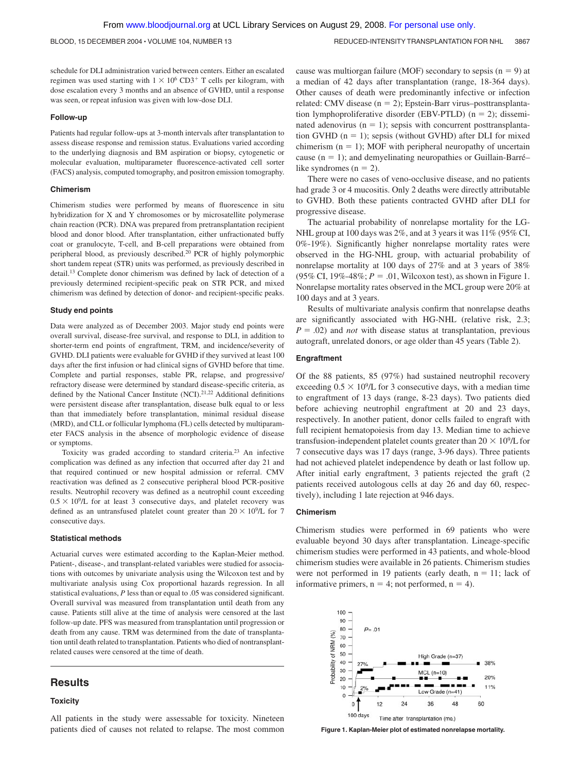BLOOD, 15 DECEMBER 2004 · VOLUME 104, NUMBER 13 REDUCED-INTENSITY TRANSPLANTATION FOR NHL 3867

schedule for DLI administration varied between centers. Either an escalated regimen was used starting with  $1 \times 10^6$  CD3<sup>+</sup> T cells per kilogram, with dose escalation every 3 months and an absence of GVHD, until a response was seen, or repeat infusion was given with low-dose DLI.

#### **Follow-up**

Patients had regular follow-ups at 3-month intervals after transplantation to assess disease response and remission status. Evaluations varied according to the underlying diagnosis and BM aspiration or biopsy, cytogenetic or molecular evaluation, multiparameter fluorescence-activated cell sorter (FACS) analysis, computed tomography, and positron emission tomography.

#### **Chimerism**

Chimerism studies were performed by means of fluorescence in situ hybridization for X and Y chromosomes or by microsatellite polymerase chain reaction (PCR). DNA was prepared from pretransplantation recipient blood and donor blood. After transplantation, either unfractionated buffy coat or granulocyte, T-cell, and B-cell preparations were obtained from peripheral blood, as previously described.20 PCR of highly polymorphic short tandem repeat (STR) units was performed, as previously described in detail.13 Complete donor chimerism was defined by lack of detection of a previously determined recipient-specific peak on STR PCR, and mixed chimerism was defined by detection of donor- and recipient-specific peaks.

#### **Study end points**

Data were analyzed as of December 2003. Major study end points were overall survival, disease-free survival, and response to DLI, in addition to shorter-term end points of engraftment, TRM, and incidence/severity of GVHD. DLI patients were evaluable for GVHD if they survived at least 100 days after the first infusion or had clinical signs of GVHD before that time. Complete and partial responses, stable PR, relapse, and progressive/ refractory disease were determined by standard disease-specific criteria, as defined by the National Cancer Institute (NCI).<sup>21,22</sup> Additional definitions were persistent disease after transplantation, disease bulk equal to or less than that immediately before transplantation, minimal residual disease (MRD), and CLL or follicular lymphoma (FL) cells detected by multiparameter FACS analysis in the absence of morphologic evidence of disease or symptoms.

Toxicity was graded according to standard criteria.23 An infective complication was defined as any infection that occurred after day 21 and that required continued or new hospital admission or referral. CMV reactivation was defined as 2 consecutive peripheral blood PCR-positive results. Neutrophil recovery was defined as a neutrophil count exceeding  $0.5 \times 10^9$ /L for at least 3 consecutive days, and platelet recovery was defined as an untransfused platelet count greater than  $20 \times 10^9$ /L for 7 consecutive days.

### **Statistical methods**

Actuarial curves were estimated according to the Kaplan-Meier method. Patient-, disease-, and transplant-related variables were studied for associations with outcomes by univariate analysis using the Wilcoxon test and by multivariate analysis using Cox proportional hazards regression. In all statistical evaluations, *P* less than or equal to .05 was considered significant. Overall survival was measured from transplantation until death from any cause. Patients still alive at the time of analysis were censored at the last follow-up date. PFS was measured from transplantation until progression or death from any cause. TRM was determined from the date of transplantation until death related to transplantation. Patients who died of nontransplantrelated causes were censored at the time of death.

### **Results**

### **Toxicity**

All patients in the study were assessable for toxicity. Nineteen patients died of causes not related to relapse. The most common

cause was multiorgan failure (MOF) secondary to sepsis  $(n = 9)$  at a median of 42 days after transplantation (range, 18-364 days). Other causes of death were predominantly infective or infection related: CMV disease  $(n = 2)$ ; Epstein-Barr virus–posttransplantation lymphoproliferative disorder (EBV-PTLD)  $(n = 2)$ ; disseminated adenovirus  $(n = 1)$ ; sepsis with concurrent posttransplantation GVHD  $(n = 1)$ ; sepsis (without GVHD) after DLI for mixed chimerism  $(n = 1)$ ; MOF with peripheral neuropathy of uncertain cause  $(n = 1)$ ; and demyelinating neuropathies or Guillain-Barrélike syndromes  $(n = 2)$ .

There were no cases of veno-occlusive disease, and no patients had grade 3 or 4 mucositis. Only 2 deaths were directly attributable to GVHD. Both these patients contracted GVHD after DLI for progressive disease.

The actuarial probability of nonrelapse mortality for the LG-NHL group at 100 days was 2%, and at 3 years it was 11% (95% CI, 0%-19%). Significantly higher nonrelapse mortality rates were observed in the HG-NHL group, with actuarial probability of nonrelapse mortality at 100 days of 27% and at 3 years of 38%  $(95\% \text{ CI}, 19\% - 48\%; P = .01, \text{Wilcoxon test}, \text{as shown in Figure 1}.$ Nonrelapse mortality rates observed in the MCL group were 20% at 100 days and at 3 years.

Results of multivariate analysis confirm that nonrelapse deaths are significantly associated with HG-NHL (relative risk, 2.3;  $P = .02$ ) and *not* with disease status at transplantation, previous autograft, unrelated donors, or age older than 45 years (Table 2).

### **Engraftment**

Of the 88 patients, 85 (97%) had sustained neutrophil recovery exceeding  $0.5 \times 10^9$ /L for 3 consecutive days, with a median time to engraftment of 13 days (range, 8-23 days). Two patients died before achieving neutrophil engraftment at 20 and 23 days, respectively. In another patient, donor cells failed to engraft with full recipient hematopoiesis from day 13. Median time to achieve transfusion-independent platelet counts greater than  $20 \times 10^9$ /L for 7 consecutive days was 17 days (range, 3-96 days). Three patients had not achieved platelet independence by death or last follow up. After initial early engraftment, 3 patients rejected the graft (2 patients received autologous cells at day 26 and day 60, respectively), including 1 late rejection at 946 days.

### **Chimerism**

Chimerism studies were performed in 69 patients who were evaluable beyond 30 days after transplantation. Lineage-specific chimerism studies were performed in 43 patients, and whole-blood chimerism studies were available in 26 patients. Chimerism studies were not performed in 19 patients (early death,  $n = 11$ ; lack of informative primers,  $n = 4$ ; not performed,  $n = 4$ ).



**Figure 1. Kaplan-Meier plot of estimated nonrelapse mortality.**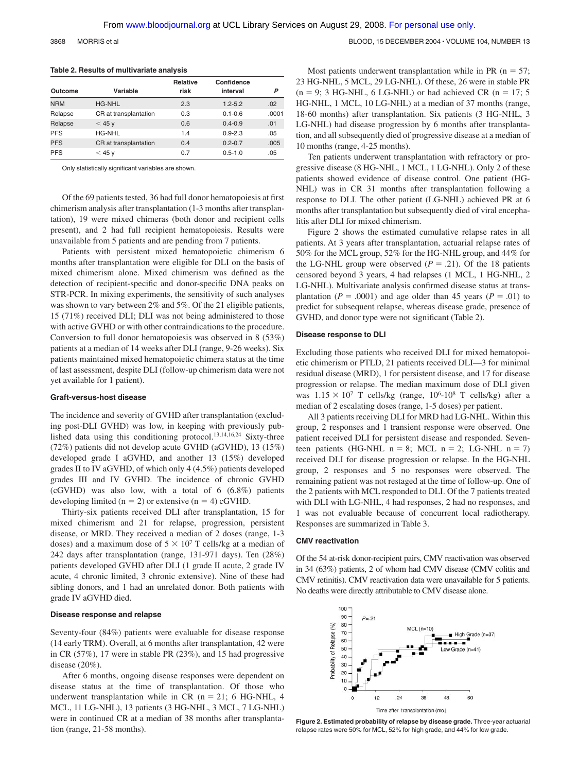3868 MORRIS et al BLOOD, 15 DECEMBER 2004 • VOLUME 104, NUMBER 13

|            |                       | <b>Relative</b> | Confidence  |       |
|------------|-----------------------|-----------------|-------------|-------|
| Outcome    | Variable              | risk            | interval    | P     |
| <b>NRM</b> | <b>HG-NHL</b>         | 2.3             | $1.2 - 5.2$ | .02   |
| Relapse    | CR at transplantation | 0.3             | $0.1 - 0.6$ | .0001 |
| Relapse    | $<$ 45 y              | 0.6             | $0.4 - 0.9$ | .01   |
| <b>PFS</b> | <b>HG-NHL</b>         | 1.4             | $0.9 - 2.3$ | .05   |
| <b>PFS</b> | CR at transplantation | 0.4             | $0.2 - 0.7$ | .005  |
| <b>PFS</b> | $<$ 45 v              | 0.7             | $0.5 - 1.0$ | .05   |

### **Table 2. Results of multivariate analysis**

Only statistically significant variables are shown.

Of the 69 patients tested, 36 had full donor hematopoiesis at first chimerism analysis after transplantation (1-3 months after transplantation), 19 were mixed chimeras (both donor and recipient cells present), and 2 had full recipient hematopoiesis. Results were unavailable from 5 patients and are pending from 7 patients.

Patients with persistent mixed hematopoietic chimerism 6 months after transplantation were eligible for DLI on the basis of mixed chimerism alone. Mixed chimerism was defined as the detection of recipient-specific and donor-specific DNA peaks on STR-PCR. In mixing experiments, the sensitivity of such analyses was shown to vary between 2% and 5%. Of the 21 eligible patients, 15 (71%) received DLI; DLI was not being administered to those with active GVHD or with other contraindications to the procedure. Conversion to full donor hematopoiesis was observed in 8 (53%) patients at a median of 14 weeks after DLI (range, 9-26 weeks). Six patients maintained mixed hematopoietic chimera status at the time of last assessment, despite DLI (follow-up chimerism data were not yet available for 1 patient).

### **Graft-versus-host disease**

The incidence and severity of GVHD after transplantation (excluding post-DLI GVHD) was low, in keeping with previously published data using this conditioning protocol.13,14,16,24 Sixty-three (72%) patients did not develop acute GVHD (aGVHD), 13 (15%) developed grade I aGVHD, and another 13 (15%) developed grades II to IV aGVHD, of which only 4 (4.5%) patients developed grades III and IV GVHD. The incidence of chronic GVHD (cGVHD) was also low, with a total of 6 (6.8%) patients developing limited ( $n = 2$ ) or extensive ( $n = 4$ ) cGVHD.

Thirty-six patients received DLI after transplantation, 15 for mixed chimerism and 21 for relapse, progression, persistent disease, or MRD. They received a median of 2 doses (range, 1-3 doses) and a maximum dose of  $5 \times 10^7$  T cells/kg at a median of 242 days after transplantation (range, 131-971 days). Ten (28%) patients developed GVHD after DLI (1 grade II acute, 2 grade IV acute, 4 chronic limited, 3 chronic extensive). Nine of these had sibling donors, and 1 had an unrelated donor. Both patients with grade IV aGVHD died.

### **Disease response and relapse**

Seventy-four (84%) patients were evaluable for disease response (14 early TRM). Overall, at 6 months after transplantation, 42 were in CR (57%), 17 were in stable PR (23%), and 15 had progressive disease (20%).

After 6 months, ongoing disease responses were dependent on disease status at the time of transplantation. Of those who underwent transplantation while in CR  $(n = 21; 6$  HG-NHL, 4 MCL, 11 LG-NHL), 13 patients (3 HG-NHL, 3 MCL, 7 LG-NHL) were in continued CR at a median of 38 months after transplantation (range, 21-58 months).

Most patients underwent transplantation while in PR ( $n = 57$ ; 23 HG-NHL, 5 MCL, 29 LG-NHL). Of these, 26 were in stable PR  $(n = 9; 3$  HG-NHL, 6 LG-NHL) or had achieved CR  $(n = 17; 5)$ HG-NHL, 1 MCL, 10 LG-NHL) at a median of 37 months (range, 18-60 months) after transplantation. Six patients (3 HG-NHL, 3 LG-NHL) had disease progression by 6 months after transplantation, and all subsequently died of progressive disease at a median of 10 months (range, 4-25 months).

Ten patients underwent transplantation with refractory or progressive disease (8 HG-NHL, 1 MCL, 1 LG-NHL). Only 2 of these patients showed evidence of disease control. One patient (HG-NHL) was in CR 31 months after transplantation following a response to DLI. The other patient (LG-NHL) achieved PR at 6 months after transplantation but subsequently died of viral encephalitis after DLI for mixed chimerism.

Figure 2 shows the estimated cumulative relapse rates in all patients. At 3 years after transplantation, actuarial relapse rates of 50% for the MCL group, 52% for the HG-NHL group, and 44% for the LG-NHL group were observed  $(P = .21)$ . Of the 18 patients censored beyond 3 years, 4 had relapses (1 MCL, 1 HG-NHL, 2 LG-NHL). Multivariate analysis confirmed disease status at transplantation ( $P = .0001$ ) and age older than 45 years ( $P = .01$ ) to predict for subsequent relapse, whereas disease grade, presence of GVHD, and donor type were not significant (Table 2).

#### **Disease response to DLI**

Excluding those patients who received DLI for mixed hematopoietic chimerism or PTLD, 21 patients received DLI—3 for minimal residual disease (MRD), 1 for persistent disease, and 17 for disease progression or relapse. The median maximum dose of DLI given was  $1.15 \times 10^7$  T cells/kg (range,  $10^6$ - $10^8$  T cells/kg) after a median of 2 escalating doses (range, 1-5 doses) per patient.

All 3 patients receiving DLI for MRD had LG-NHL. Within this group, 2 responses and 1 transient response were observed. One patient received DLI for persistent disease and responded. Seventeen patients (HG-NHL  $n = 8$ ; MCL  $n = 2$ ; LG-NHL  $n = 7$ ) received DLI for disease progression or relapse. In the HG-NHL group, 2 responses and 5 no responses were observed. The remaining patient was not restaged at the time of follow-up. One of the 2 patients with MCL responded to DLI. Of the 7 patients treated with DLI with LG-NHL, 4 had responses, 2 had no responses, and 1 was not evaluable because of concurrent local radiotherapy. Responses are summarized in Table 3.

### **CMV reactivation**

Of the 54 at-risk donor-recipient pairs, CMV reactivation was observed in 34 (63%) patients, 2 of whom had CMV disease (CMV colitis and CMV retinitis). CMV reactivation data were unavailable for 5 patients. No deaths were directly attributable to CMV disease alone.



**Figure 2. Estimated probability of relapse by disease grade.** Three-year actuarial relapse rates were 50% for MCL, 52% for high grade, and 44% for low grade.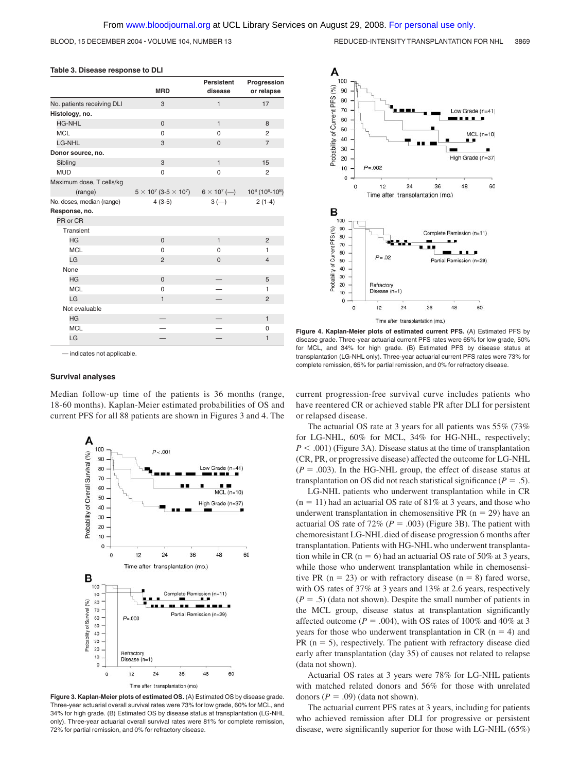BLOOD, 15 DECEMBER 2004 · VOLUME 104, NUMBER 13 REDUCED-INTENSITY TRANSPLANTATION FOR NHL 3869

### **Table 3. Disease response to DLI**

|                            | <b>MRD</b>                        | <b>Persistent</b><br>disease | Progression<br>or relapse                                           |
|----------------------------|-----------------------------------|------------------------------|---------------------------------------------------------------------|
| No. patients receiving DLI | 3                                 | $\mathbf{1}$                 | 17                                                                  |
| Histology, no.             |                                   |                              |                                                                     |
| <b>HG-NHL</b>              | $\mathbf 0$                       | $\mathbf{1}$                 | 8                                                                   |
| <b>MCL</b>                 | $\Omega$                          | $\Omega$                     | $\overline{2}$                                                      |
| LG-NHL                     | 3                                 | $\mathbf{0}$                 | $\overline{7}$                                                      |
| Donor source, no.          |                                   |                              |                                                                     |
| Sibling                    | 3                                 | $\mathbf{1}$                 | 15                                                                  |
| <b>MUD</b>                 | 0                                 | $\Omega$                     | $\overline{2}$                                                      |
| Maximum dose, T cells/kg   |                                   |                              |                                                                     |
| (range)                    | $5 \times 10^7 (3.5 \times 10^7)$ |                              | $6 \times 10^{7}$ (--) $10^{8}$ (10 <sup>6</sup> -10 <sup>8</sup> ) |
| No. doses, median (range)  | $4(3-5)$                          | $3(-)$                       | $2(1-4)$                                                            |
| Response, no.              |                                   |                              |                                                                     |
| PR or CR                   |                                   |                              |                                                                     |
| Transient                  |                                   |                              |                                                                     |
| <b>HG</b>                  | $\overline{0}$                    | $\mathbf{1}$                 | $\overline{2}$                                                      |
| <b>MCL</b>                 | 0                                 | 0                            | 1                                                                   |
| LG                         | $\overline{2}$                    | $\Omega$                     | $\overline{4}$                                                      |
| None                       |                                   |                              |                                                                     |
| <b>HG</b>                  | $\mathbf 0$                       |                              | 5                                                                   |
| <b>MCL</b>                 | $\Omega$                          |                              | 1                                                                   |
| LG                         | $\mathbf{1}$                      |                              | $\overline{2}$                                                      |
| Not evaluable              |                                   |                              |                                                                     |
| <b>HG</b>                  |                                   |                              | $\mathbf{1}$                                                        |
| <b>MCL</b>                 |                                   |                              | 0                                                                   |
| LG                         |                                   |                              | 1                                                                   |

— indicates not applicable.

#### **Survival analyses**

Median follow-up time of the patients is 36 months (range, 18-60 months). Kaplan-Meier estimated probabilities of OS and current PFS for all 88 patients are shown in Figures 3 and 4. The







**Figure 4. Kaplan-Meier plots of estimated current PFS.** (A) Estimated PFS by disease grade. Three-year actuarial current PFS rates were 65% for low grade, 50% for MCL, and 34% for high grade. (B) Estimated PFS by disease status at transplantation (LG-NHL only). Three-year actuarial current PFS rates were 73% for complete remission, 65% for partial remission, and 0% for refractory disease.

current progression-free survival curve includes patients who have reentered CR or achieved stable PR after DLI for persistent or relapsed disease.

The actuarial OS rate at 3 years for all patients was 55% (73% for LG-NHL, 60% for MCL, 34% for HG-NHL, respectively;  $P < .001$ ) (Figure 3A). Disease status at the time of transplantation (CR, PR, or progressive disease) affected the outcome for LG-NHL  $(P = .003)$ . In the HG-NHL group, the effect of disease status at transplantation on OS did not reach statistical significance ( $P = .5$ ).

LG-NHL patients who underwent transplantation while in CR  $(n = 11)$  had an actuarial OS rate of 81% at 3 years, and those who underwent transplantation in chemosensitive PR  $(n = 29)$  have an actuarial OS rate of  $72\%$  ( $P = .003$ ) (Figure 3B). The patient with chemoresistant LG-NHL died of disease progression 6 months after transplantation. Patients with HG-NHL who underwent transplantation while in CR ( $n = 6$ ) had an actuarial OS rate of 50% at 3 years, while those who underwent transplantation while in chemosensitive PR ( $n = 23$ ) or with refractory disease ( $n = 8$ ) fared worse, with OS rates of 37% at 3 years and 13% at 2.6 years, respectively  $(P = .5)$  (data not shown). Despite the small number of patients in the MCL group, disease status at transplantation significantly affected outcome ( $P = .004$ ), with OS rates of 100% and 40% at 3 years for those who underwent transplantation in CR  $(n = 4)$  and  $PR (n = 5)$ , respectively. The patient with refractory disease died early after transplantation (day 35) of causes not related to relapse (data not shown).

Actuarial OS rates at 3 years were 78% for LG-NHL patients with matched related donors and 56% for those with unrelated donors  $(P = .09)$  (data not shown).

The actuarial current PFS rates at 3 years, including for patients who achieved remission after DLI for progressive or persistent disease, were significantly superior for those with LG-NHL (65%)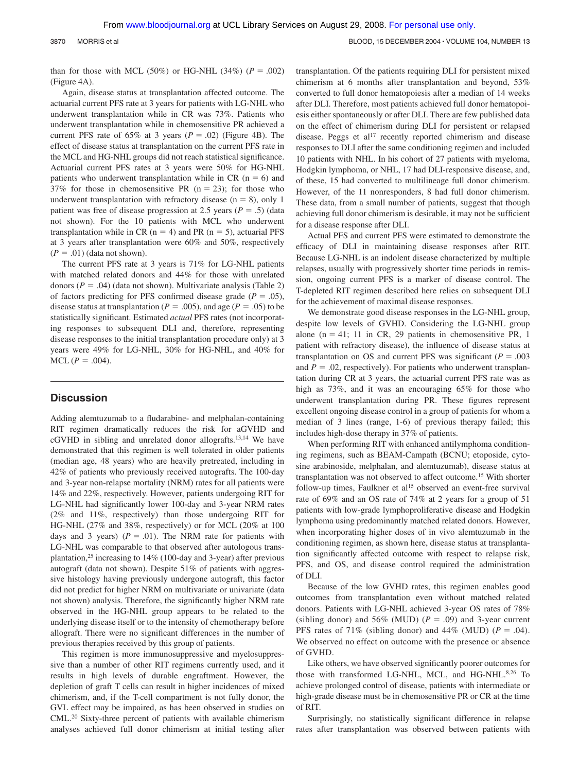than for those with MCL (50%) or HG-NHL (34%) ( $P = .002$ ) (Figure 4A).

Again, disease status at transplantation affected outcome. The actuarial current PFS rate at 3 years for patients with LG-NHL who underwent transplantation while in CR was 73%. Patients who underwent transplantation while in chemosensitive PR achieved a current PFS rate of  $65\%$  at 3 years ( $P = .02$ ) (Figure 4B). The effect of disease status at transplantation on the current PFS rate in the MCL and HG-NHL groups did not reach statistical significance. Actuarial current PFS rates at 3 years were 50% for HG-NHL patients who underwent transplantation while in  $CR$  ( $n = 6$ ) and 37% for those in chemosensitive PR  $(n = 23)$ ; for those who underwent transplantation with refractory disease  $(n = 8)$ , only 1 patient was free of disease progression at 2.5 years  $(P = .5)$  (data not shown). For the 10 patients with MCL who underwent transplantation while in CR ( $n = 4$ ) and PR ( $n = 5$ ), actuarial PFS at 3 years after transplantation were 60% and 50%, respectively  $(P = .01)$  (data not shown).

The current PFS rate at 3 years is 71% for LG-NHL patients with matched related donors and 44% for those with unrelated donors  $(P = .04)$  (data not shown). Multivariate analysis (Table 2) of factors predicting for PFS confirmed disease grade  $(P = .05)$ , disease status at transplantation ( $P = .005$ ), and age ( $P = .05$ ) to be statistically significant. Estimated *actual* PFS rates (not incorporating responses to subsequent DLI and, therefore, representing disease responses to the initial transplantation procedure only) at 3 years were 49% for LG-NHL, 30% for HG-NHL, and 40% for  $MCL (P = .004).$ 

### **Discussion**

Adding alemtuzumab to a fludarabine- and melphalan-containing RIT regimen dramatically reduces the risk for aGVHD and cGVHD in sibling and unrelated donor allografts.13,14 We have demonstrated that this regimen is well tolerated in older patients (median age, 48 years) who are heavily pretreated, including in 42% of patients who previously received autografts. The 100-day and 3-year non-relapse mortality (NRM) rates for all patients were 14% and 22%, respectively. However, patients undergoing RIT for LG-NHL had significantly lower 100-day and 3-year NRM rates (2% and 11%, respectively) than those undergoing RIT for HG-NHL (27% and 38%, respectively) or for MCL (20% at 100 days and 3 years)  $(P = .01)$ . The NRM rate for patients with LG-NHL was comparable to that observed after autologous transplantation,<sup>25</sup> increasing to  $14\%$  (100-day and 3-year) after previous autograft (data not shown). Despite 51% of patients with aggressive histology having previously undergone autograft, this factor did not predict for higher NRM on multivariate or univariate (data not shown) analysis. Therefore, the significantly higher NRM rate observed in the HG-NHL group appears to be related to the underlying disease itself or to the intensity of chemotherapy before allograft. There were no significant differences in the number of previous therapies received by this group of patients.

This regimen is more immunosuppressive and myelosuppressive than a number of other RIT regimens currently used, and it results in high levels of durable engraftment. However, the depletion of graft T cells can result in higher incidences of mixed chimerism, and, if the T-cell compartment is not fully donor, the GVL effect may be impaired, as has been observed in studies on CML.20 Sixty-three percent of patients with available chimerism analyses achieved full donor chimerism at initial testing after transplantation. Of the patients requiring DLI for persistent mixed chimerism at 6 months after transplantation and beyond, 53% converted to full donor hematopoiesis after a median of 14 weeks after DLI. Therefore, most patients achieved full donor hematopoiesis either spontaneously or after DLI. There are few published data on the effect of chimerism during DLI for persistent or relapsed disease. Peggs et al<sup>17</sup> recently reported chimerism and disease responses to DLI after the same conditioning regimen and included 10 patients with NHL. In his cohort of 27 patients with myeloma, Hodgkin lymphoma, or NHL, 17 had DLI-responsive disease, and, of these, 15 had converted to multilineage full donor chimerism. However, of the 11 nonresponders, 8 had full donor chimerism. These data, from a small number of patients, suggest that though achieving full donor chimerism is desirable, it may not be sufficient for a disease response after DLI.

Actual PFS and current PFS were estimated to demonstrate the efficacy of DLI in maintaining disease responses after RIT. Because LG-NHL is an indolent disease characterized by multiple relapses, usually with progressively shorter time periods in remission, ongoing current PFS is a marker of disease control. The T-depleted RIT regimen described here relies on subsequent DLI for the achievement of maximal disease responses.

We demonstrate good disease responses in the LG-NHL group, despite low levels of GVHD. Considering the LG-NHL group alone  $(n = 41; 11$  in CR, 29 patients in chemosensitive PR, 1 patient with refractory disease), the influence of disease status at transplantation on OS and current PFS was significant  $(P = .003)$ and  $P = 0.02$ , respectively). For patients who underwent transplantation during CR at 3 years, the actuarial current PFS rate was as high as 73%, and it was an encouraging 65% for those who underwent transplantation during PR. These figures represent excellent ongoing disease control in a group of patients for whom a median of 3 lines (range, 1-6) of previous therapy failed; this includes high-dose therapy in 37% of patients.

When performing RIT with enhanced antilymphoma conditioning regimens, such as BEAM-Campath (BCNU; etoposide, cytosine arabinoside, melphalan, and alemtuzumab), disease status at transplantation was not observed to affect outcome.15 With shorter follow-up times, Faulkner et al<sup>15</sup> observed an event-free survival rate of 69% and an OS rate of 74% at 2 years for a group of 51 patients with low-grade lymphoproliferative disease and Hodgkin lymphoma using predominantly matched related donors. However, when incorporating higher doses of in vivo alemtuzumab in the conditioning regimen, as shown here, disease status at transplantation significantly affected outcome with respect to relapse risk, PFS, and OS, and disease control required the administration of DLI.

Because of the low GVHD rates, this regimen enables good outcomes from transplantation even without matched related donors. Patients with LG-NHL achieved 3-year OS rates of 78% (sibling donor) and 56% (MUD)  $(P = .09)$  and 3-year current PFS rates of 71% (sibling donor) and 44% (MUD)  $(P = .04)$ . We observed no effect on outcome with the presence or absence of GVHD.

Like others, we have observed significantly poorer outcomes for those with transformed LG-NHL, MCL, and HG-NHL.8,26 To achieve prolonged control of disease, patients with intermediate or high-grade disease must be in chemosensitive PR or CR at the time of RIT.

Surprisingly, no statistically significant difference in relapse rates after transplantation was observed between patients with